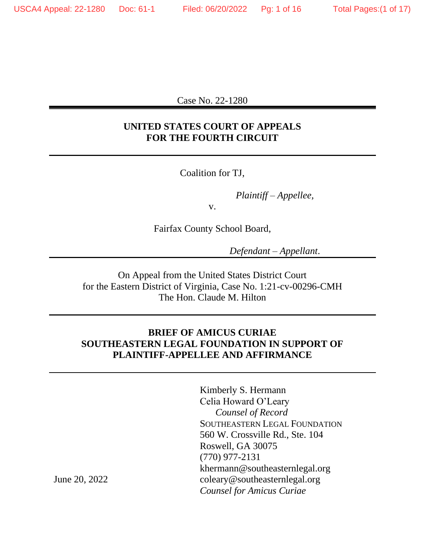Case No. 22-1280

## **UNITED STATES COURT OF APPEALS FOR THE FOURTH CIRCUIT**

Coalition for TJ,

*Plaintiff – Appellee,*

v.

Fairfax County School Board,

*Defendant – Appellant*.

On Appeal from the United States District Court for the Eastern District of Virginia, Case No. 1:21-cv-00296-CMH The Hon. Claude M. Hilton

## **BRIEF OF AMICUS CURIAE SOUTHEASTERN LEGAL FOUNDATION IN SUPPORT OF PLAINTIFF-APPELLEE AND AFFIRMANCE**

Kimberly S. Hermann Celia Howard O'Leary *Counsel of Record* SOUTHEASTERN LEGAL FOUNDATION 560 W. Crossville Rd., Ste. 104 Roswell, GA 30075 (770) 977-2131 khermann@southeasternlegal.org coleary@southeasternlegal.org *Counsel for Amicus Curiae*

June 20, 2022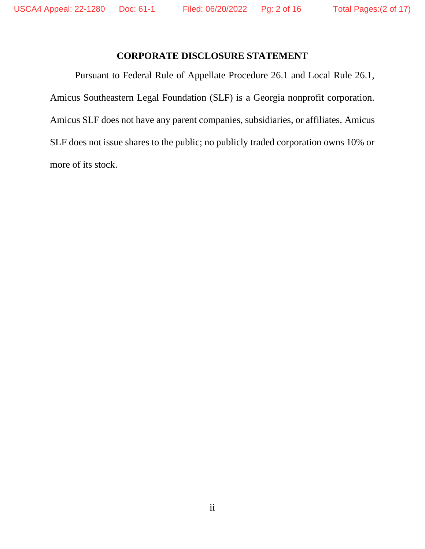## **CORPORATE DISCLOSURE STATEMENT**

<span id="page-1-0"></span>Pursuant to Federal Rule of Appellate Procedure 26.1 and Local Rule 26.1, Amicus Southeastern Legal Foundation (SLF) is a Georgia nonprofit corporation. Amicus SLF does not have any parent companies, subsidiaries, or affiliates. Amicus SLF does not issue shares to the public; no publicly traded corporation owns 10% or more of its stock.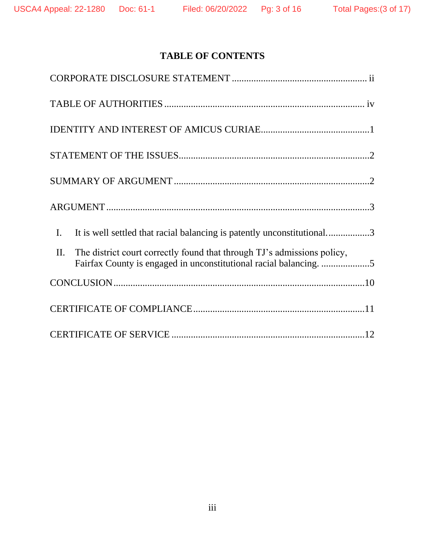# **TABLE OF CONTENTS**

| It is well settled that racial balancing is patently unconstitutional3<br>$\mathbf{I}$ .                                                            |
|-----------------------------------------------------------------------------------------------------------------------------------------------------|
| The district court correctly found that through TJ's admissions policy,<br>II.<br>Fairfax County is engaged in unconstitutional racial balancing. 5 |
|                                                                                                                                                     |
|                                                                                                                                                     |
|                                                                                                                                                     |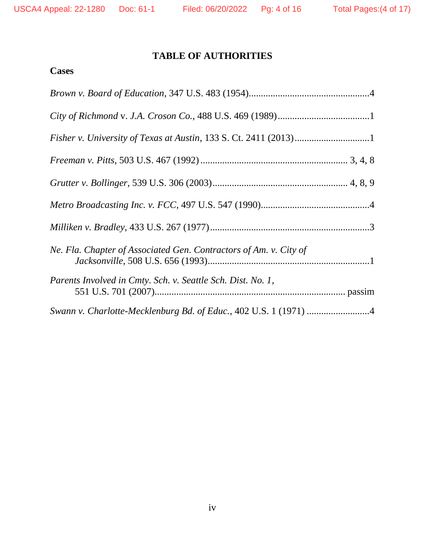## <span id="page-3-0"></span>**TABLE OF AUTHORITIES**

# **Cases**

| Ne. Fla. Chapter of Associated Gen. Contractors of Am. v. City of |
|-------------------------------------------------------------------|
| Parents Involved in Cmty. Sch. v. Seattle Sch. Dist. No. 1,       |
| Swann v. Charlotte-Mecklenburg Bd. of Educ., 402 U.S. 1 (1971) 4  |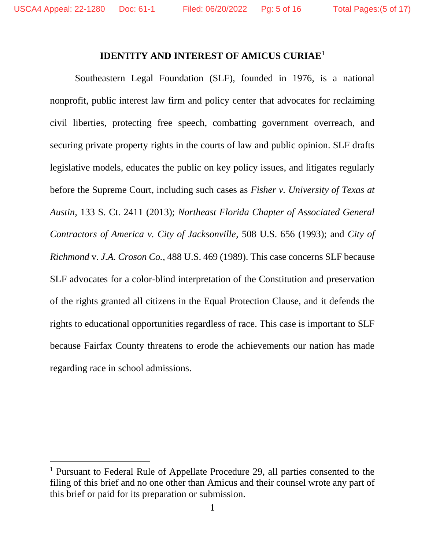### **IDENTITY AND INTEREST OF AMICUS CURIAE<sup>1</sup>**

<span id="page-4-0"></span>Southeastern Legal Foundation (SLF), founded in 1976, is a national nonprofit, public interest law firm and policy center that advocates for reclaiming civil liberties, protecting free speech, combatting government overreach, and securing private property rights in the courts of law and public opinion. SLF drafts legislative models, educates the public on key policy issues, and litigates regularly before the Supreme Court, including such cases as *Fisher v. University of Texas at Austin*, 133 S. Ct. 2411 (2013); *Northeast Florida Chapter of Associated General Contractors of America v. City of Jacksonville*, 508 U.S. 656 (1993); and *City of Richmond* v. *J.A. Croson Co.*, 488 U.S. 469 (1989). This case concerns SLF because SLF advocates for a color-blind interpretation of the Constitution and preservation of the rights granted all citizens in the Equal Protection Clause, and it defends the rights to educational opportunities regardless of race. This case is important to SLF because Fairfax County threatens to erode the achievements our nation has made regarding race in school admissions.

<sup>1</sup> Pursuant to Federal Rule of Appellate Procedure 29, all parties consented to the filing of this brief and no one other than Amicus and their counsel wrote any part of this brief or paid for its preparation or submission.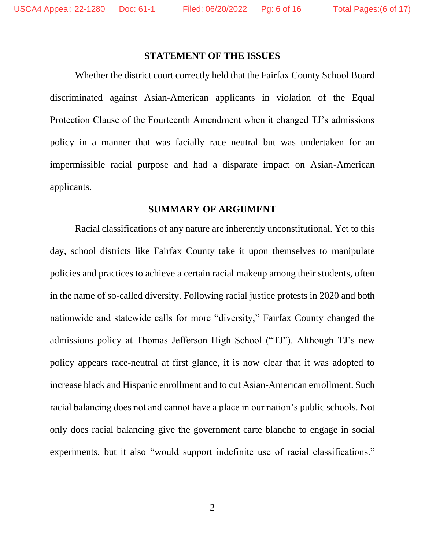#### **STATEMENT OF THE ISSUES**

<span id="page-5-0"></span>Whether the district court correctly held that the Fairfax County School Board discriminated against Asian-American applicants in violation of the Equal Protection Clause of the Fourteenth Amendment when it changed TJ's admissions policy in a manner that was facially race neutral but was undertaken for an impermissible racial purpose and had a disparate impact on Asian-American applicants.

#### **SUMMARY OF ARGUMENT**

<span id="page-5-1"></span>Racial classifications of any nature are inherently unconstitutional. Yet to this day, school districts like Fairfax County take it upon themselves to manipulate policies and practices to achieve a certain racial makeup among their students, often in the name of so-called diversity. Following racial justice protests in 2020 and both nationwide and statewide calls for more "diversity," Fairfax County changed the admissions policy at Thomas Jefferson High School ("TJ"). Although TJ's new policy appears race-neutral at first glance, it is now clear that it was adopted to increase black and Hispanic enrollment and to cut Asian-American enrollment. Such racial balancing does not and cannot have a place in our nation's public schools. Not only does racial balancing give the government carte blanche to engage in social experiments, but it also "would support indefinite use of racial classifications."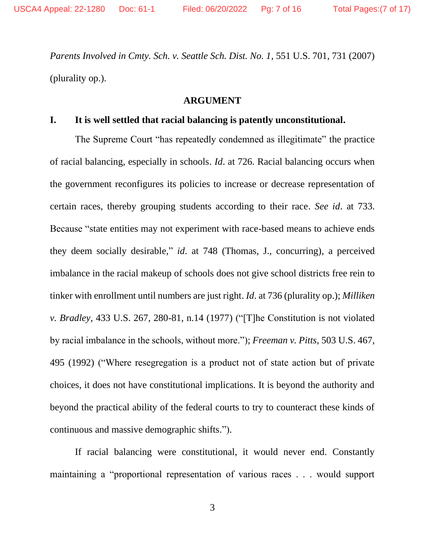*Parents Involved in Cmty. Sch. v. Seattle Sch. Dist. No. 1*, 551 U.S. 701, 731 (2007) (plurality op.).

#### **ARGUMENT**

#### <span id="page-6-1"></span><span id="page-6-0"></span>**I. It is well settled that racial balancing is patently unconstitutional.**

The Supreme Court "has repeatedly condemned as illegitimate" the practice of racial balancing, especially in schools. *Id*. at 726. Racial balancing occurs when the government reconfigures its policies to increase or decrease representation of certain races, thereby grouping students according to their race. *See id*. at 733. Because "state entities may not experiment with race-based means to achieve ends they deem socially desirable," *id*. at 748 (Thomas, J., concurring), a perceived imbalance in the racial makeup of schools does not give school districts free rein to tinker with enrollment until numbers are just right. *Id*. at 736 (plurality op.); *Milliken v. Bradley*, 433 U.S. 267, 280-81, n.14 (1977) ("[T]he Constitution is not violated by racial imbalance in the schools, without more."); *Freeman v. Pitts*, 503 U.S. 467, 495 (1992) ("Where resegregation is a product not of state action but of private choices, it does not have constitutional implications. It is beyond the authority and beyond the practical ability of the federal courts to try to counteract these kinds of continuous and massive demographic shifts.").

If racial balancing were constitutional, it would never end. Constantly maintaining a "proportional representation of various races . . . would support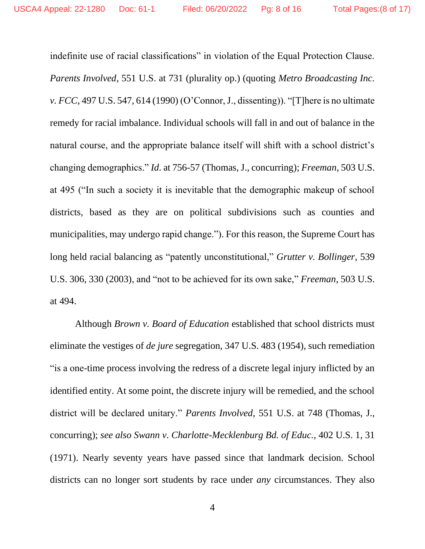indefinite use of racial classifications" in violation of the Equal Protection Clause. *Parents Involved*, 551 U.S. at 731 (plurality op.) (quoting *Metro Broadcasting Inc. v. FCC*, 497 U.S. 547, 614 (1990) (O'Connor, J., dissenting)). "[T]here is no ultimate remedy for racial imbalance. Individual schools will fall in and out of balance in the natural course, and the appropriate balance itself will shift with a school district's changing demographics." *Id*. at 756-57 (Thomas, J., concurring); *Freeman*, 503 U.S. at 495 ("In such a society it is inevitable that the demographic makeup of school districts, based as they are on political subdivisions such as counties and municipalities, may undergo rapid change."). For this reason, the Supreme Court has long held racial balancing as "patently unconstitutional," *Grutter v. Bollinger*, 539 U.S. 306, 330 (2003), and "not to be achieved for its own sake," *Freeman*, 503 U.S. at 494.

Although *Brown v. Board of Education* established that school districts must eliminate the vestiges of *de jure* segregation, 347 U.S. 483 (1954), such remediation "is a one-time process involving the redress of a discrete legal injury inflicted by an identified entity. At some point, the discrete injury will be remedied, and the school district will be declared unitary." *Parents Involved*, 551 U.S. at 748 (Thomas, J., concurring); *see also Swann v. Charlotte-Mecklenburg Bd. of Educ.*, 402 U.S. 1, 31 (1971). Nearly seventy years have passed since that landmark decision. School districts can no longer sort students by race under *any* circumstances. They also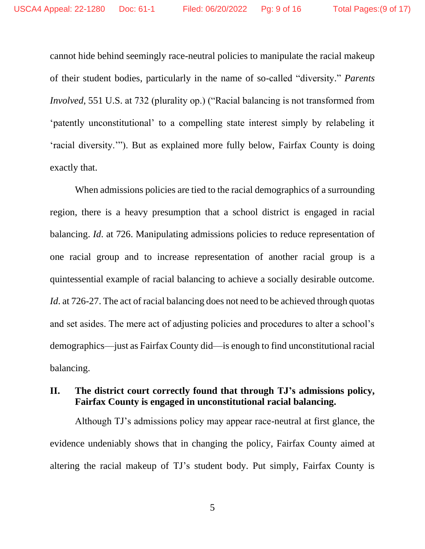cannot hide behind seemingly race-neutral policies to manipulate the racial makeup of their student bodies, particularly in the name of so-called "diversity." *Parents Involved*, 551 U.S. at 732 (plurality op.) ("Racial balancing is not transformed from 'patently unconstitutional' to a compelling state interest simply by relabeling it 'racial diversity.'"). But as explained more fully below, Fairfax County is doing exactly that.

When admissions policies are tied to the racial demographics of a surrounding region, there is a heavy presumption that a school district is engaged in racial balancing. *Id*. at 726. Manipulating admissions policies to reduce representation of one racial group and to increase representation of another racial group is a quintessential example of racial balancing to achieve a socially desirable outcome. *Id.* at 726-27. The act of racial balancing does not need to be achieved through quotas and set asides. The mere act of adjusting policies and procedures to alter a school's demographics—just as Fairfax County did—is enough to find unconstitutional racial balancing.

## <span id="page-8-0"></span>**II. The district court correctly found that through TJ's admissions policy, Fairfax County is engaged in unconstitutional racial balancing.**

Although TJ's admissions policy may appear race-neutral at first glance, the evidence undeniably shows that in changing the policy, Fairfax County aimed at altering the racial makeup of TJ's student body. Put simply, Fairfax County is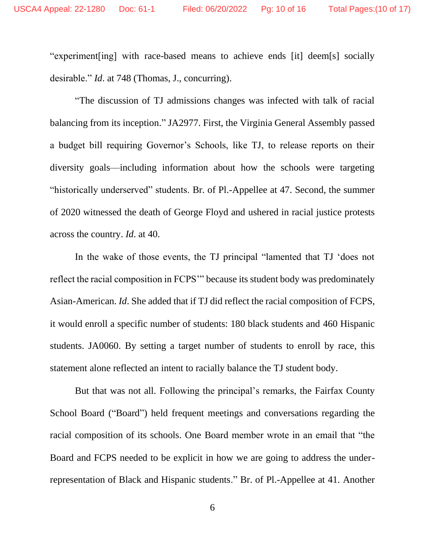"experiment[ing] with race-based means to achieve ends [it] deem[s] socially desirable." *Id*. at 748 (Thomas, J., concurring).

"The discussion of TJ admissions changes was infected with talk of racial balancing from its inception." JA2977. First, the Virginia General Assembly passed a budget bill requiring Governor's Schools, like TJ, to release reports on their diversity goals—including information about how the schools were targeting "historically underserved" students. Br. of Pl.-Appellee at 47. Second, the summer of 2020 witnessed the death of George Floyd and ushered in racial justice protests across the country. *Id*. at 40.

In the wake of those events, the TJ principal "lamented that TJ 'does not reflect the racial composition in FCPS'" because its student body was predominately Asian-American. *Id*. She added that if TJ did reflect the racial composition of FCPS, it would enroll a specific number of students: 180 black students and 460 Hispanic students. JA0060. By setting a target number of students to enroll by race, this statement alone reflected an intent to racially balance the TJ student body.

But that was not all. Following the principal's remarks, the Fairfax County School Board ("Board") held frequent meetings and conversations regarding the racial composition of its schools. One Board member wrote in an email that "the Board and FCPS needed to be explicit in how we are going to address the underrepresentation of Black and Hispanic students." Br. of Pl.-Appellee at 41. Another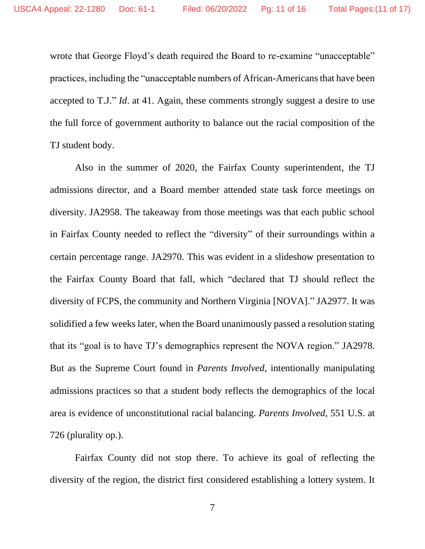wrote that George Floyd's death required the Board to re-examine "unacceptable" practices, including the "unacceptable numbers of African-Americans that have been accepted to T.J." *Id*. at 41. Again, these comments strongly suggest a desire to use the full force of government authority to balance out the racial composition of the TJ student body.

Also in the summer of 2020, the Fairfax County superintendent, the TJ admissions director, and a Board member attended state task force meetings on diversity. JA2958. The takeaway from those meetings was that each public school in Fairfax County needed to reflect the "diversity" of their surroundings within a certain percentage range. JA2970. This was evident in a slideshow presentation to the Fairfax County Board that fall, which "declared that TJ should reflect the diversity of FCPS, the community and Northern Virginia [NOVA]." JA2977. It was solidified a few weeks later, when the Board unanimously passed a resolution stating that its "goal is to have TJ's demographics represent the NOVA region." JA2978. But as the Supreme Court found in *Parents Involved*, intentionally manipulating admissions practices so that a student body reflects the demographics of the local area is evidence of unconstitutional racial balancing. *Parents Involved*, 551 U.S. at 726 (plurality op.).

Fairfax County did not stop there. To achieve its goal of reflecting the diversity of the region, the district first considered establishing a lottery system. It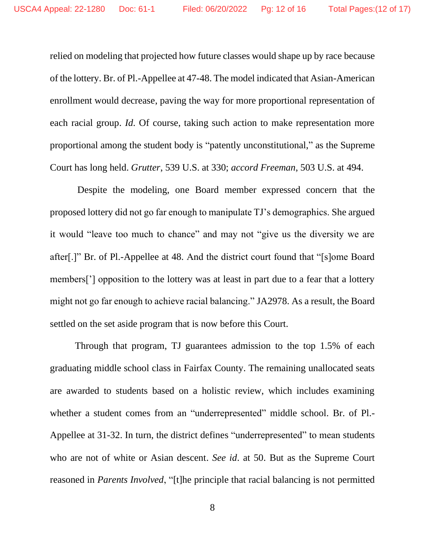relied on modeling that projected how future classes would shape up by race because of the lottery. Br. of Pl.-Appellee at 47-48. The model indicated that Asian-American enrollment would decrease, paving the way for more proportional representation of each racial group. *Id*. Of course, taking such action to make representation more proportional among the student body is "patently unconstitutional," as the Supreme Court has long held. *Grutter*, 539 U.S. at 330; *accord Freeman*, 503 U.S. at 494.

Despite the modeling, one Board member expressed concern that the proposed lottery did not go far enough to manipulate TJ's demographics. She argued it would "leave too much to chance" and may not "give us the diversity we are after[.]" Br. of Pl.-Appellee at 48. And the district court found that "[s]ome Board members['] opposition to the lottery was at least in part due to a fear that a lottery might not go far enough to achieve racial balancing." JA2978. As a result, the Board settled on the set aside program that is now before this Court.

Through that program, TJ guarantees admission to the top 1.5% of each graduating middle school class in Fairfax County. The remaining unallocated seats are awarded to students based on a holistic review, which includes examining whether a student comes from an "underrepresented" middle school. Br. of Pl.- Appellee at 31-32. In turn, the district defines "underrepresented" to mean students who are not of white or Asian descent. *See id*. at 50. But as the Supreme Court reasoned in *Parents Involved*, "[t]he principle that racial balancing is not permitted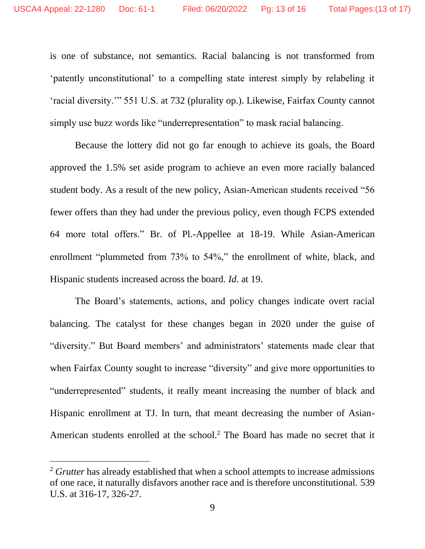is one of substance, not semantics. Racial balancing is not transformed from 'patently unconstitutional' to a compelling state interest simply by relabeling it 'racial diversity.'" 551 U.S. at 732 (plurality op.). Likewise, Fairfax County cannot simply use buzz words like "underrepresentation" to mask racial balancing.

Because the lottery did not go far enough to achieve its goals, the Board approved the 1.5% set aside program to achieve an even more racially balanced student body. As a result of the new policy, Asian-American students received "56 fewer offers than they had under the previous policy, even though FCPS extended 64 more total offers." Br. of Pl.-Appellee at 18-19. While Asian-American enrollment "plummeted from 73% to 54%," the enrollment of white, black, and Hispanic students increased across the board. *Id*. at 19.

The Board's statements, actions, and policy changes indicate overt racial balancing. The catalyst for these changes began in 2020 under the guise of "diversity." But Board members' and administrators' statements made clear that when Fairfax County sought to increase "diversity" and give more opportunities to "underrepresented" students, it really meant increasing the number of black and Hispanic enrollment at TJ. In turn, that meant decreasing the number of Asian-American students enrolled at the school.<sup>2</sup> The Board has made no secret that it

<sup>&</sup>lt;sup>2</sup> *Grutter* has already established that when a school attempts to increase admissions of one race, it naturally disfavors another race and is therefore unconstitutional. 539 U.S. at 316-17, 326-27.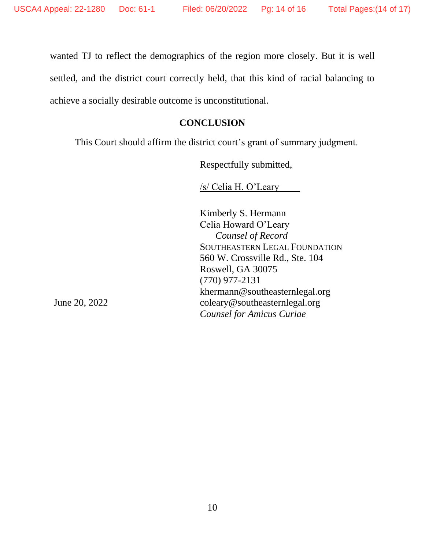wanted TJ to reflect the demographics of the region more closely. But it is well settled, and the district court correctly held, that this kind of racial balancing to achieve a socially desirable outcome is unconstitutional.

### **CONCLUSION**

<span id="page-13-0"></span>This Court should affirm the district court's grant of summary judgment.

Respectfully submitted,

/s/ Celia H. O'Leary

Kimberly S. Hermann Celia Howard O'Leary *Counsel of Record* SOUTHEASTERN LEGAL FOUNDATION 560 W. Crossville Rd., Ste. 104 Roswell, GA 30075 (770) 977-2131 khermann@southeasternlegal.org coleary@southeasternlegal.org *Counsel for Amicus Curiae*

June 20, 2022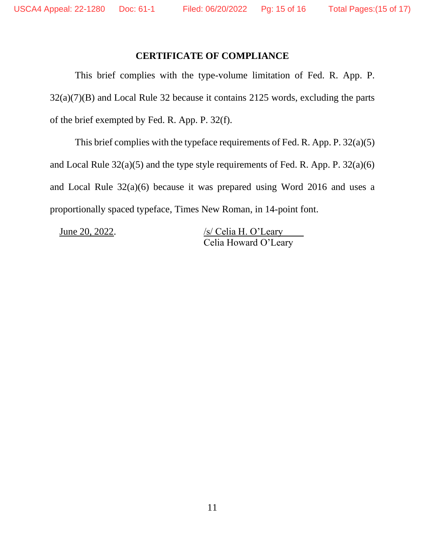## **CERTIFICATE OF COMPLIANCE**

<span id="page-14-0"></span>This brief complies with the type-volume limitation of Fed. R. App. P. 32(a)(7)(B) and Local Rule 32 because it contains 2125 words, excluding the parts of the brief exempted by Fed. R. App. P. 32(f).

This brief complies with the typeface requirements of Fed. R. App. P. 32(a)(5) and Local Rule 32(a)(5) and the type style requirements of Fed. R. App. P. 32(a)(6) and Local Rule 32(a)(6) because it was prepared using Word 2016 and uses a proportionally spaced typeface, Times New Roman, in 14-point font.

June 20, 2022. /s/ Celia H. O'Leary Celia Howard O'Leary